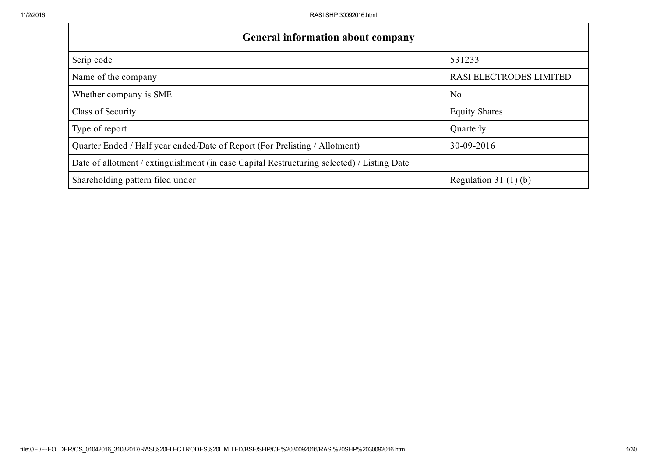| <b>General information about company</b>                                                   |                         |
|--------------------------------------------------------------------------------------------|-------------------------|
| Scrip code                                                                                 | 531233                  |
| Name of the company                                                                        | RASI ELECTRODES LIMITED |
| Whether company is SME                                                                     | N <sub>0</sub>          |
| Class of Security                                                                          | <b>Equity Shares</b>    |
| Type of report                                                                             | Quarterly               |
| Quarter Ended / Half year ended/Date of Report (For Prelisting / Allotment)                | 30-09-2016              |
| Date of allotment / extinguishment (in case Capital Restructuring selected) / Listing Date |                         |
| Shareholding pattern filed under                                                           | Regulation 31 $(1)(b)$  |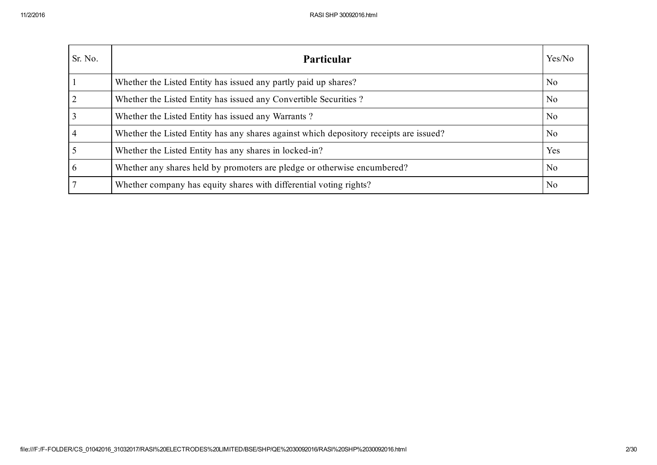| Sr. No.        | Particular                                                                             | Yes/No         |
|----------------|----------------------------------------------------------------------------------------|----------------|
|                | Whether the Listed Entity has issued any partly paid up shares?                        | N <sub>0</sub> |
| 2              | Whether the Listed Entity has issued any Convertible Securities?                       | N <sub>0</sub> |
| $\overline{3}$ | Whether the Listed Entity has issued any Warrants?                                     | N <sub>0</sub> |
| $\overline{4}$ | Whether the Listed Entity has any shares against which depository receipts are issued? | N <sub>0</sub> |
| $\overline{5}$ | Whether the Listed Entity has any shares in locked-in?                                 | Yes            |
| 6              | Whether any shares held by promoters are pledge or otherwise encumbered?               | N <sub>0</sub> |
| 7              | Whether company has equity shares with differential voting rights?                     | N <sub>0</sub> |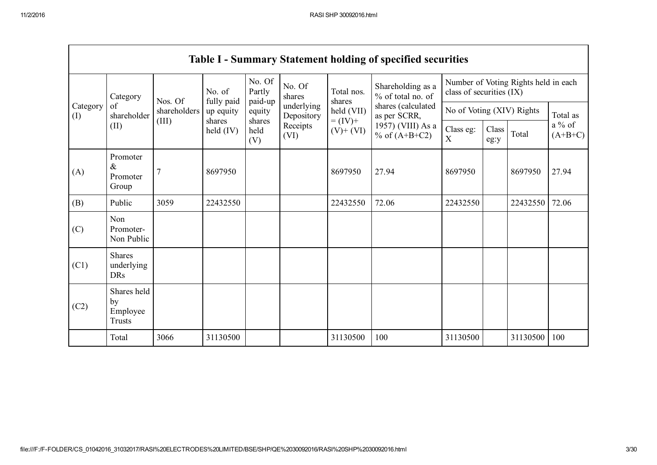г

|          |                                           |              |                              |                             |                          |                                    | <b>Table I - Summary Statement holding of specified securities</b> |                                                                  |               |          |                       |
|----------|-------------------------------------------|--------------|------------------------------|-----------------------------|--------------------------|------------------------------------|--------------------------------------------------------------------|------------------------------------------------------------------|---------------|----------|-----------------------|
|          | Category                                  | Nos. Of      | No. of<br>fully paid         | No. Of<br>Partly<br>paid-up | No. Of<br>shares         | Total nos.<br>shares<br>held (VII) | Shareholding as a<br>% of total no. of                             | Number of Voting Rights held in each<br>class of securities (IX) |               |          |                       |
| Category | of<br>(I)<br>shareholder                  | shareholders | up equity                    | equity                      | underlying<br>Depository |                                    | shares (calculated<br>as per SCRR,                                 | No of Voting (XIV) Rights                                        |               | Total as |                       |
|          | (II)                                      | (III)        | shares<br>$\text{held (IV)}$ | shares<br>held<br>(V)       | Receipts<br>(VI)         | $= (IV) +$<br>$(V)$ + $(VI)$       | 1957) (VIII) As a<br>% of $(A+B+C2)$                               | Class eg:<br>X                                                   | Class<br>eg:y | Total    | $a\%$ of<br>$(A+B+C)$ |
| (A)      | Promoter<br>$\&$<br>Promoter<br>Group     |              | 8697950                      |                             |                          | 8697950                            | 27.94                                                              | 8697950                                                          |               | 8697950  | 27.94                 |
| (B)      | Public                                    | 3059         | 22432550                     |                             |                          | 22432550                           | 72.06                                                              | 22432550                                                         |               | 22432550 | 72.06                 |
| (C)      | Non<br>Promoter-<br>Non Public            |              |                              |                             |                          |                                    |                                                                    |                                                                  |               |          |                       |
| (C1)     | <b>Shares</b><br>underlying<br><b>DRs</b> |              |                              |                             |                          |                                    |                                                                    |                                                                  |               |          |                       |
| (C2)     | Shares held<br>by<br>Employee<br>Trusts   |              |                              |                             |                          |                                    |                                                                    |                                                                  |               |          |                       |
|          | Total                                     | 3066         | 31130500                     |                             |                          | 31130500                           | 100                                                                | 31130500                                                         |               | 31130500 | 100                   |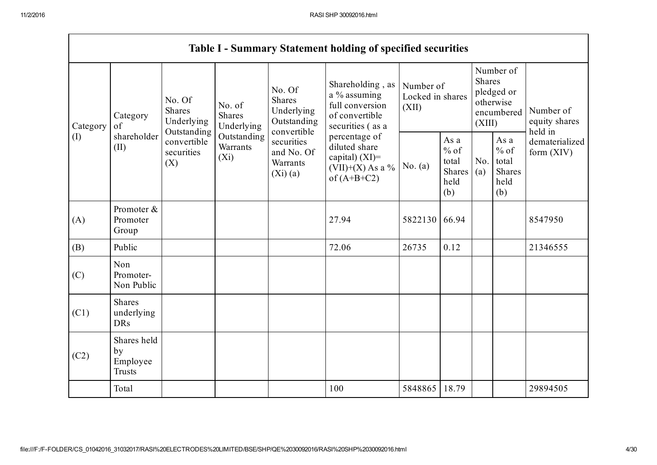|                                                          |                                                |                                                      |                                                                     |                                                                                       | <b>Table I - Summary Statement holding of specified securities</b>                        |                                                         |            |                                                                               |                                |                                       |
|----------------------------------------------------------|------------------------------------------------|------------------------------------------------------|---------------------------------------------------------------------|---------------------------------------------------------------------------------------|-------------------------------------------------------------------------------------------|---------------------------------------------------------|------------|-------------------------------------------------------------------------------|--------------------------------|---------------------------------------|
| Category<br>Category<br>of<br>shareholder<br>(I)<br>(II) |                                                | No. Of<br><b>Shares</b><br>Underlying<br>Outstanding | No. of<br><b>Shares</b><br>Underlying                               | No. Of<br>Shares<br>Underlying<br>Outstanding                                         | Shareholding, as<br>a % assuming<br>full conversion<br>of convertible<br>securities (as a | Number of<br>Locked in shares<br>(XII)                  |            | Number of<br><b>Shares</b><br>pledged or<br>otherwise<br>encumbered<br>(XIII) |                                | Number of<br>equity shares<br>held in |
|                                                          | convertible<br>securities<br>(X)               | Outstanding<br>Warrants<br>$(X_i)$                   | convertible<br>securities<br>and No. Of<br>Warrants<br>$(Xi)$ $(a)$ | percentage of<br>diluted share<br>capital) (XI)=<br>(VII)+(X) As a %<br>of $(A+B+C2)$ | No. $(a)$                                                                                 | As a<br>$%$ of<br>total<br><b>Shares</b><br>held<br>(b) | No.<br>(a) | As a<br>$\%$ of<br>total<br>Shares<br>held<br>(b)                             | dematerialized<br>form $(XIV)$ |                                       |
| (A)                                                      | Promoter &<br>Promoter<br>Group                |                                                      |                                                                     |                                                                                       | 27.94                                                                                     | 5822130                                                 | 66.94      |                                                                               |                                | 8547950                               |
| (B)                                                      | Public                                         |                                                      |                                                                     |                                                                                       | 72.06                                                                                     | 26735                                                   | 0.12       |                                                                               |                                | 21346555                              |
| (C)                                                      | Non<br>Promoter-<br>Non Public                 |                                                      |                                                                     |                                                                                       |                                                                                           |                                                         |            |                                                                               |                                |                                       |
| (C1)                                                     | <b>Shares</b><br>underlying<br><b>DRs</b>      |                                                      |                                                                     |                                                                                       |                                                                                           |                                                         |            |                                                                               |                                |                                       |
| (C2)                                                     | Shares held<br>by<br>Employee<br><b>Trusts</b> |                                                      |                                                                     |                                                                                       |                                                                                           |                                                         |            |                                                                               |                                |                                       |
|                                                          | Total                                          |                                                      |                                                                     |                                                                                       | 100                                                                                       | 5848865                                                 | 18.79      |                                                                               |                                | 29894505                              |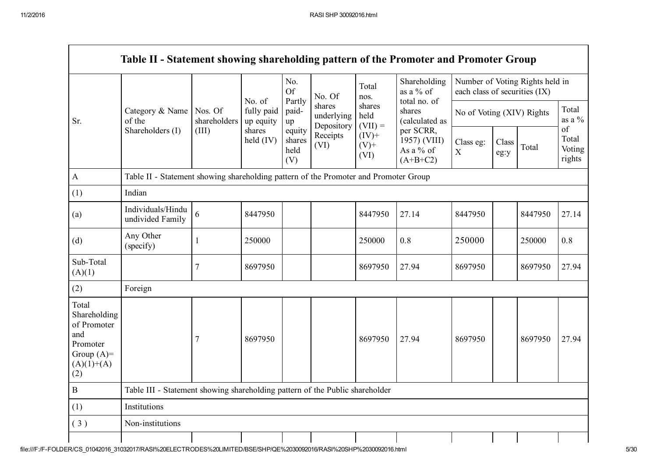|                                                                                                | Table II - Statement showing shareholding pattern of the Promoter and Promoter Group |                                  |                                                            |                                 |                                                        |                                                                            |                                                      |                               |               |                                 |                                 |
|------------------------------------------------------------------------------------------------|--------------------------------------------------------------------------------------|----------------------------------|------------------------------------------------------------|---------------------------------|--------------------------------------------------------|----------------------------------------------------------------------------|------------------------------------------------------|-------------------------------|---------------|---------------------------------|---------------------------------|
|                                                                                                |                                                                                      | Nos. Of<br>shareholders<br>(III) | No. of<br>fully paid<br>up equity<br>shares<br>held $(IV)$ | No.<br><b>Of</b><br>Partly      | No. Of                                                 | Total<br>nos.<br>shares<br>held<br>$(VII) =$<br>$(IV)+$<br>$(V)$ +<br>(VI) | Shareholding<br>as a % of<br>total no. of            | each class of securities (IX) |               | Number of Voting Rights held in |                                 |
| Sr.                                                                                            | Category & Name<br>of the<br>Shareholders (I)                                        |                                  |                                                            | paid-<br>up                     | shares<br>underlying<br>Depository<br>Receipts<br>(VI) |                                                                            | shares<br>(calculated as                             | No of Voting (XIV) Rights     |               |                                 | Total<br>as a $\%$              |
|                                                                                                |                                                                                      |                                  |                                                            | equity<br>shares<br>held<br>(V) |                                                        |                                                                            | per SCRR,<br>1957) (VIII)<br>As a % of<br>$(A+B+C2)$ | Class eg:<br>$\mathbf X$      | Class<br>eg:y | Total                           | of<br>Total<br>Voting<br>rights |
| $\mathbf{A}$                                                                                   | Table II - Statement showing shareholding pattern of the Promoter and Promoter Group |                                  |                                                            |                                 |                                                        |                                                                            |                                                      |                               |               |                                 |                                 |
| (1)                                                                                            | Indian                                                                               |                                  |                                                            |                                 |                                                        |                                                                            |                                                      |                               |               |                                 |                                 |
| (a)                                                                                            | Individuals/Hindu<br>undivided Family                                                | 6                                | 8447950                                                    |                                 |                                                        | 8447950                                                                    | 27.14                                                | 8447950                       |               | 8447950                         | 27.14                           |
| (d)                                                                                            | Any Other<br>(specify)                                                               | 1                                | 250000                                                     |                                 |                                                        | 250000                                                                     | 0.8                                                  | 250000                        |               | 250000                          | 0.8                             |
| Sub-Total<br>(A)(1)                                                                            |                                                                                      | 7                                | 8697950                                                    |                                 |                                                        | 8697950                                                                    | 27.94                                                | 8697950                       |               | 8697950                         | 27.94                           |
| (2)                                                                                            | Foreign                                                                              |                                  |                                                            |                                 |                                                        |                                                                            |                                                      |                               |               |                                 |                                 |
| Total<br>Shareholding<br>of Promoter<br>and<br>Promoter<br>Group $(A)=$<br>$(A)(1)+(A)$<br>(2) |                                                                                      | 7                                | 8697950                                                    |                                 |                                                        | 8697950                                                                    | 27.94                                                | 8697950                       |               | 8697950                         | 27.94                           |
| $\bf{B}$                                                                                       | Table III - Statement showing shareholding pattern of the Public shareholder         |                                  |                                                            |                                 |                                                        |                                                                            |                                                      |                               |               |                                 |                                 |
| (1)                                                                                            | Institutions                                                                         |                                  |                                                            |                                 |                                                        |                                                                            |                                                      |                               |               |                                 |                                 |
| (3)                                                                                            | Non-institutions                                                                     |                                  |                                                            |                                 |                                                        |                                                                            |                                                      |                               |               |                                 |                                 |
|                                                                                                |                                                                                      |                                  |                                                            |                                 |                                                        |                                                                            |                                                      |                               |               |                                 |                                 |

г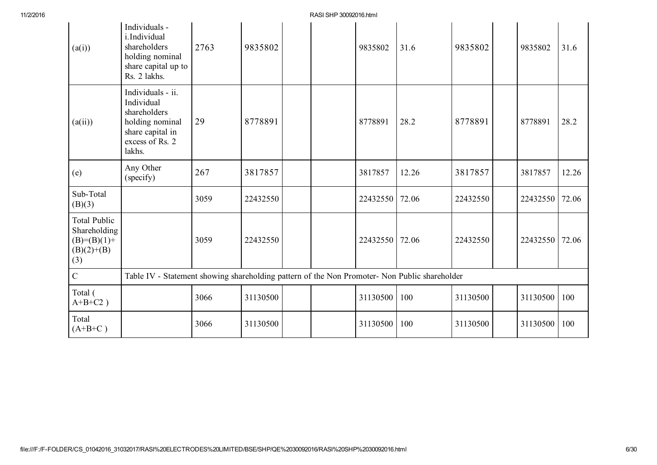| (a(i))                                                                      | Individuals -<br>i.Individual<br>shareholders<br>holding nominal<br>share capital up to<br>Rs. 2 lakhs.             | 2763 | 9835802  |  | 9835802  | 31.6  | 9835802  | 9835802  | 31.6  |
|-----------------------------------------------------------------------------|---------------------------------------------------------------------------------------------------------------------|------|----------|--|----------|-------|----------|----------|-------|
| (a(ii))                                                                     | Individuals - ii.<br>Individual<br>shareholders<br>holding nominal<br>share capital in<br>excess of Rs. 2<br>lakhs. | 29   | 8778891  |  | 8778891  | 28.2  | 8778891  | 8778891  | 28.2  |
| (e)                                                                         | Any Other<br>(specify)                                                                                              | 267  | 3817857  |  | 3817857  | 12.26 | 3817857  | 3817857  | 12.26 |
| Sub-Total<br>(B)(3)                                                         |                                                                                                                     | 3059 | 22432550 |  | 22432550 | 72.06 | 22432550 | 22432550 | 72.06 |
| <b>Total Public</b><br>Shareholding<br>$(B)=(B)(1)+$<br>$(B)(2)+(B)$<br>(3) |                                                                                                                     | 3059 | 22432550 |  | 22432550 | 72.06 | 22432550 | 22432550 | 72.06 |
| $\overline{C}$                                                              | Table IV - Statement showing shareholding pattern of the Non Promoter- Non Public shareholder                       |      |          |  |          |       |          |          |       |
| Total (<br>$A+B+C2$ )                                                       |                                                                                                                     | 3066 | 31130500 |  | 31130500 | 100   | 31130500 | 31130500 | 100   |
| Total<br>$(A+B+C)$                                                          |                                                                                                                     | 3066 | 31130500 |  | 31130500 | 100   | 31130500 | 31130500 | 100   |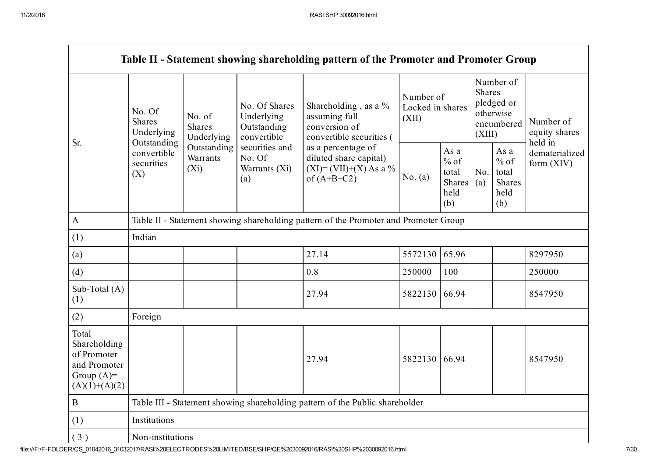|                                                                                         |                                                      |                                       |                                                           | Table II - Statement showing shareholding pattern of the Promoter and Promoter Group       |                                        |                                                         |                                                                               |                                                         |                                       |  |
|-----------------------------------------------------------------------------------------|------------------------------------------------------|---------------------------------------|-----------------------------------------------------------|--------------------------------------------------------------------------------------------|----------------------------------------|---------------------------------------------------------|-------------------------------------------------------------------------------|---------------------------------------------------------|---------------------------------------|--|
| Sr.                                                                                     | No. Of<br><b>Shares</b><br>Underlying<br>Outstanding | No. of<br><b>Shares</b><br>Underlying | No. Of Shares<br>Underlying<br>Outstanding<br>convertible | Shareholding, as a %<br>assuming full<br>conversion of<br>convertible securities (         | Number of<br>Locked in shares<br>(XII) |                                                         | Number of<br><b>Shares</b><br>pledged or<br>otherwise<br>encumbered<br>(XIII) |                                                         | Number of<br>equity shares<br>held in |  |
|                                                                                         | convertible<br>securities<br>(X)                     | Outstanding<br>Warrants<br>$(X_i)$    | securities and<br>No. Of<br>Warrants (Xi)<br>(a)          | as a percentage of<br>diluted share capital)<br>$(XI) = (VII)+(X) As a %$<br>of $(A+B+C2)$ | No. $(a)$                              | As a<br>$%$ of<br>total<br><b>Shares</b><br>held<br>(b) | No.<br>(a)                                                                    | As a<br>$%$ of<br>total<br><b>Shares</b><br>held<br>(b) | dematerialized<br>form $(XIV)$        |  |
| $\mathbf{A}$                                                                            |                                                      |                                       |                                                           | Table II - Statement showing shareholding pattern of the Promoter and Promoter Group       |                                        |                                                         |                                                                               |                                                         |                                       |  |
| (1)                                                                                     | Indian                                               |                                       |                                                           |                                                                                            |                                        |                                                         |                                                                               |                                                         |                                       |  |
| (a)                                                                                     |                                                      |                                       |                                                           | 27.14                                                                                      | 5572130                                | 65.96                                                   |                                                                               |                                                         | 8297950                               |  |
| (d)                                                                                     |                                                      |                                       |                                                           | 0.8                                                                                        | 250000                                 | 100                                                     |                                                                               |                                                         | 250000                                |  |
| Sub-Total $(A)$<br>(1)                                                                  |                                                      |                                       |                                                           | 27.94                                                                                      | 5822130 66.94                          |                                                         |                                                                               |                                                         | 8547950                               |  |
| (2)                                                                                     | Foreign                                              |                                       |                                                           |                                                                                            |                                        |                                                         |                                                                               |                                                         |                                       |  |
| Total<br>Shareholding<br>of Promoter<br>and Promoter<br>Group $(A)=$<br>$(A)(1)+(A)(2)$ |                                                      |                                       |                                                           | 27.94                                                                                      | 5822130 66.94                          |                                                         |                                                                               |                                                         | 8547950                               |  |
| $\, {\bf B}$                                                                            |                                                      |                                       |                                                           | Table III - Statement showing shareholding pattern of the Public shareholder               |                                        |                                                         |                                                                               |                                                         |                                       |  |
| (1)                                                                                     | Institutions                                         |                                       |                                                           |                                                                                            |                                        |                                                         |                                                                               |                                                         |                                       |  |
| (3)                                                                                     | Non-institutions                                     |                                       |                                                           |                                                                                            |                                        |                                                         |                                                                               |                                                         |                                       |  |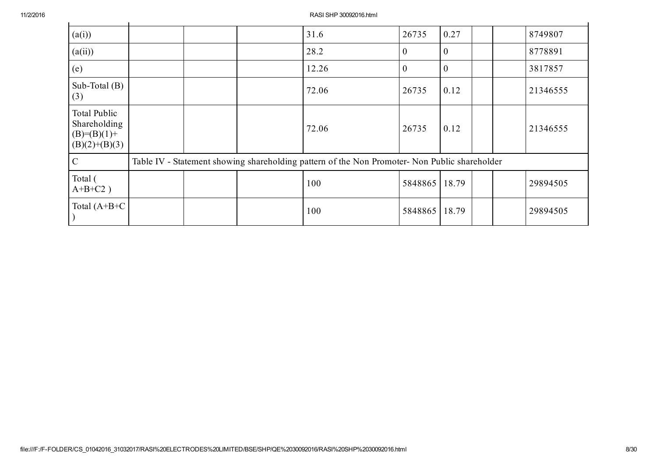| (a(i))                                                             |  | 31.6                                                                                          | 26735         | 0.27         |  | 8749807  |
|--------------------------------------------------------------------|--|-----------------------------------------------------------------------------------------------|---------------|--------------|--|----------|
| (a(ii))                                                            |  | 28.2                                                                                          | $\theta$      | $\mathbf{0}$ |  | 8778891  |
| (e)                                                                |  | 12.26                                                                                         | $\mathbf{0}$  | $\mathbf{0}$ |  | 3817857  |
| Sub-Total $(B)$<br>(3)                                             |  | 72.06                                                                                         | 26735         | 0.12         |  | 21346555 |
| Total Public<br>Shareholding<br>$(B)= (B)(1) +$<br>$(B)(2)+(B)(3)$ |  | 72.06                                                                                         | 26735         | 0.12         |  | 21346555 |
| $\overline{C}$                                                     |  | Table IV - Statement showing shareholding pattern of the Non Promoter- Non Public shareholder |               |              |  |          |
| Total (<br>$A+B+C2$ )                                              |  | 100                                                                                           | 5848865 18.79 |              |  | 29894505 |
| Total $(A+B+C)$                                                    |  | 100                                                                                           | 5848865       | 18.79        |  | 29894505 |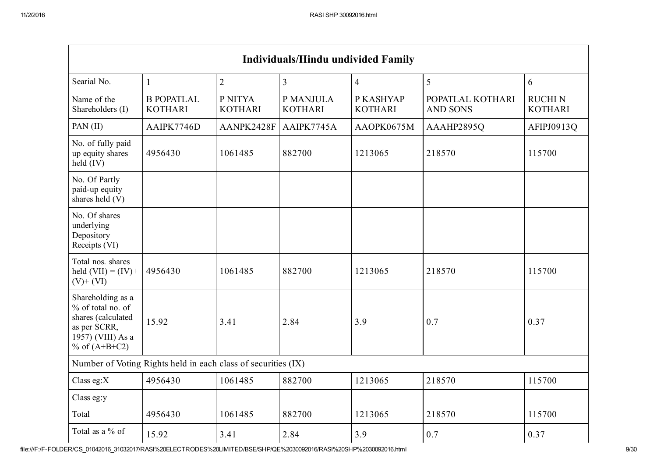| <b>Individuals/Hindu undivided Family</b>                                                                            |                                                               |                           |                             |                             |                                     |                                 |  |  |
|----------------------------------------------------------------------------------------------------------------------|---------------------------------------------------------------|---------------------------|-----------------------------|-----------------------------|-------------------------------------|---------------------------------|--|--|
| Searial No.                                                                                                          | $\mathbf{1}$                                                  | $\overline{2}$            | $\overline{3}$              | $\overline{4}$              | 5                                   | 6                               |  |  |
| Name of the<br>Shareholders (I)                                                                                      | <b>B POPATLAL</b><br><b>KOTHARI</b>                           | P NITYA<br><b>KOTHARI</b> | P MANJULA<br><b>KOTHARI</b> | P KASHYAP<br><b>KOTHARI</b> | POPATLAL KOTHARI<br><b>AND SONS</b> | <b>RUCHIN</b><br><b>KOTHARI</b> |  |  |
| PAN (II)                                                                                                             | AAIPK7746D                                                    | AANPK2428F                | AAIPK7745A                  | AAOPK0675M                  | AAAHP2895Q                          | AFIPJ0913Q                      |  |  |
| No. of fully paid<br>up equity shares<br>held (IV)                                                                   | 4956430                                                       | 1061485                   | 882700                      | 1213065                     | 218570                              | 115700                          |  |  |
| No. Of Partly<br>paid-up equity<br>shares held (V)                                                                   |                                                               |                           |                             |                             |                                     |                                 |  |  |
| No. Of shares<br>underlying<br>Depository<br>Receipts (VI)                                                           |                                                               |                           |                             |                             |                                     |                                 |  |  |
| Total nos. shares<br>held $(VII) = (IV) +$<br>$(V)$ + $(VI)$                                                         | 4956430                                                       | 1061485                   | 882700                      | 1213065                     | 218570                              | 115700                          |  |  |
| Shareholding as a<br>% of total no. of<br>shares (calculated<br>as per SCRR,<br>1957) (VIII) As a<br>% of $(A+B+C2)$ | 15.92                                                         | 3.41                      | 2.84                        | 3.9                         | 0.7                                 | 0.37                            |  |  |
|                                                                                                                      | Number of Voting Rights held in each class of securities (IX) |                           |                             |                             |                                     |                                 |  |  |
| Class eg: $X$                                                                                                        | 4956430                                                       | 1061485                   | 882700                      | 1213065                     | 218570                              | 115700                          |  |  |
| Class eg:y                                                                                                           |                                                               |                           |                             |                             |                                     |                                 |  |  |
| Total                                                                                                                | 4956430                                                       | 1061485                   | 882700                      | 1213065                     | 218570                              | 115700                          |  |  |
| Total as a % of                                                                                                      | 15.92                                                         | 3.41                      | 2.84                        | 3.9                         | 0.7                                 | 0.37                            |  |  |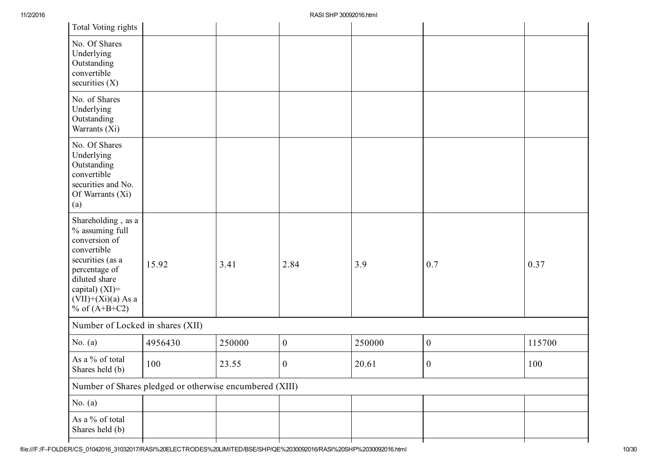| Total Voting rights                                                                                                                                                                         |                                                         |        |                  |        |                  |        |
|---------------------------------------------------------------------------------------------------------------------------------------------------------------------------------------------|---------------------------------------------------------|--------|------------------|--------|------------------|--------|
| No. Of Shares<br>Underlying<br>Outstanding<br>convertible<br>securities $(X)$                                                                                                               |                                                         |        |                  |        |                  |        |
| No. of Shares<br>Underlying<br>Outstanding<br>Warrants (Xi)                                                                                                                                 |                                                         |        |                  |        |                  |        |
| No. Of Shares<br>Underlying<br>Outstanding<br>convertible<br>securities and No.<br>Of Warrants (Xi)<br>(a)                                                                                  |                                                         |        |                  |        |                  |        |
| Shareholding, as a<br>% assuming full<br>conversion of<br>convertible<br>securities (as a<br>percentage of<br>diluted share<br>capital) $(XI)$ =<br>$(VII)+(Xi)(a)$ As a<br>% of $(A+B+C2)$ | 15.92                                                   | 3.41   | 2.84             | 3.9    | 0.7              | 0.37   |
| Number of Locked in shares (XII)                                                                                                                                                            |                                                         |        |                  |        |                  |        |
| No. $(a)$                                                                                                                                                                                   | 4956430                                                 | 250000 | $\boldsymbol{0}$ | 250000 | $\boldsymbol{0}$ | 115700 |
| As a % of total<br>Shares held (b)                                                                                                                                                          | 100                                                     | 23.55  | $\boldsymbol{0}$ | 20.61  | $\boldsymbol{0}$ | 100    |
|                                                                                                                                                                                             | Number of Shares pledged or otherwise encumbered (XIII) |        |                  |        |                  |        |
| No. $(a)$                                                                                                                                                                                   |                                                         |        |                  |        |                  |        |
| As a $\%$ of total<br>Shares held (b)                                                                                                                                                       |                                                         |        |                  |        |                  |        |
|                                                                                                                                                                                             |                                                         |        |                  |        |                  |        |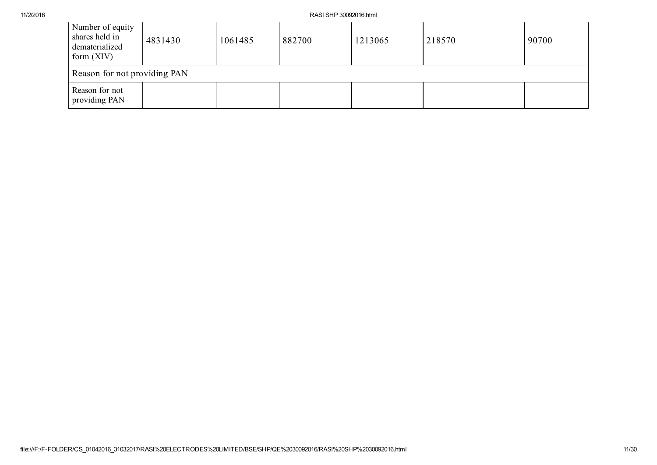| Number of equity<br>shares held in<br>dematerialized<br>form $(XIV)$ | 4831430 | 1061485 | 882700 | 1213065 | 218570 | 90700 |
|----------------------------------------------------------------------|---------|---------|--------|---------|--------|-------|
| Reason for not providing PAN                                         |         |         |        |         |        |       |
| Reason for not<br>providing PAN                                      |         |         |        |         |        |       |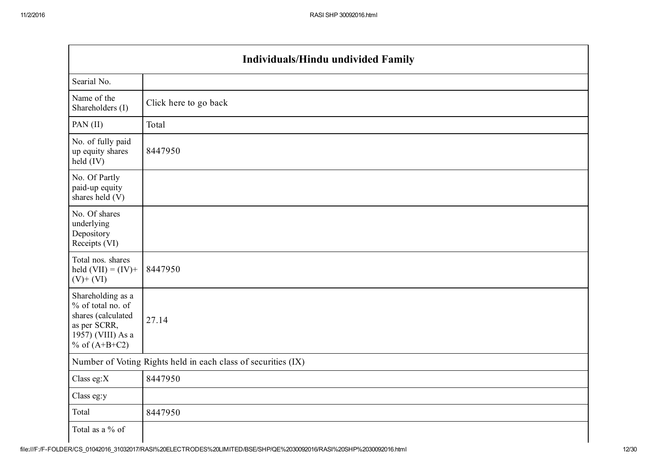|                                                                                                                      | Individuals/Hindu undivided Family                            |
|----------------------------------------------------------------------------------------------------------------------|---------------------------------------------------------------|
| Searial No.                                                                                                          |                                                               |
| Name of the<br>Shareholders (I)                                                                                      | Click here to go back                                         |
| PAN (II)                                                                                                             | Total                                                         |
| No. of fully paid<br>up equity shares<br>held $(IV)$                                                                 | 8447950                                                       |
| No. Of Partly<br>paid-up equity<br>shares held (V)                                                                   |                                                               |
| No. Of shares<br>underlying<br>Depository<br>Receipts (VI)                                                           |                                                               |
| Total nos. shares<br>held $(VII) = (IV) +$<br>$(V)$ + $(VI)$                                                         | 8447950                                                       |
| Shareholding as a<br>% of total no. of<br>shares (calculated<br>as per SCRR,<br>1957) (VIII) As a<br>% of $(A+B+C2)$ | 27.14                                                         |
|                                                                                                                      | Number of Voting Rights held in each class of securities (IX) |
| Class eg:X                                                                                                           | 8447950                                                       |
| Class eg:y                                                                                                           |                                                               |
| Total                                                                                                                | 8447950                                                       |
| Total as a % of                                                                                                      |                                                               |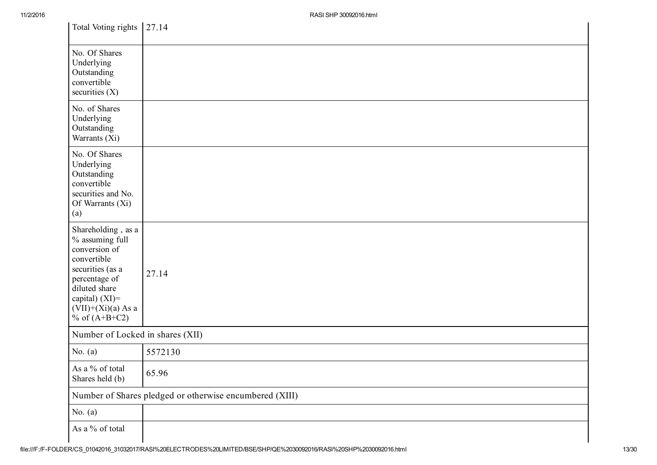| Total Voting rights 27.14                                                                                                                                                                |                                                         |
|------------------------------------------------------------------------------------------------------------------------------------------------------------------------------------------|---------------------------------------------------------|
| No. Of Shares<br>Underlying<br>Outstanding<br>convertible<br>securities $(X)$                                                                                                            |                                                         |
| No. of Shares<br>Underlying<br>Outstanding<br>Warrants (Xi)                                                                                                                              |                                                         |
| No. Of Shares<br>Underlying<br>Outstanding<br>convertible<br>securities and No.<br>Of Warrants (Xi)<br>(a)                                                                               |                                                         |
| Shareholding, as a<br>% assuming full<br>conversion of<br>convertible<br>securities (as a<br>percentage of<br>diluted share<br>capital) (XI)=<br>$(VII)+(Xi)(a)$ As a<br>% of $(A+B+C2)$ | 27.14                                                   |
| Number of Locked in shares (XII)                                                                                                                                                         |                                                         |
| No. $(a)$                                                                                                                                                                                | 5572130                                                 |
| As a % of total<br>Shares held (b)                                                                                                                                                       | 65.96                                                   |
|                                                                                                                                                                                          | Number of Shares pledged or otherwise encumbered (XIII) |
| No. $(a)$                                                                                                                                                                                |                                                         |
| As a $\%$ of total                                                                                                                                                                       |                                                         |

 $\mathbf{I}$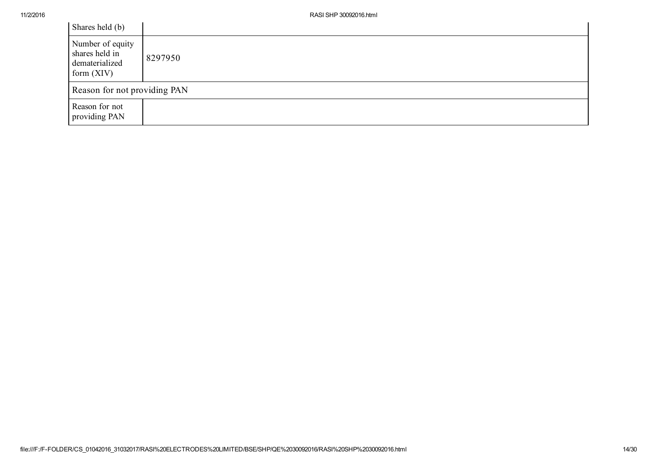| Shares held (b)                                                      |         |
|----------------------------------------------------------------------|---------|
| Number of equity<br>shares held in<br>dematerialized<br>form $(XIV)$ | 8297950 |
| Reason for not providing PAN                                         |         |
| Reason for not<br>providing PAN                                      |         |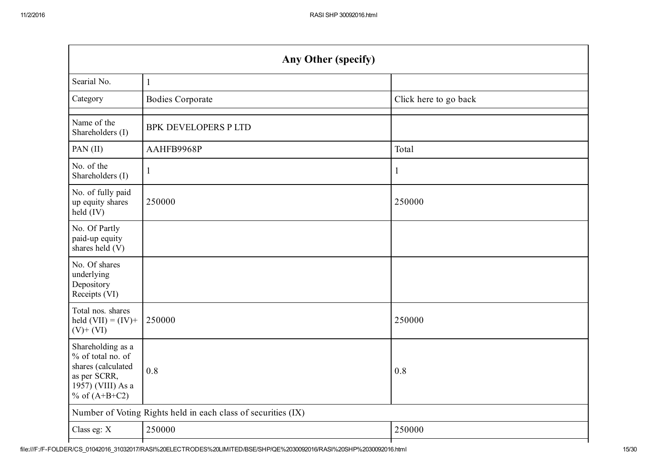|                                                                                                                      | <b>Any Other (specify)</b>                                    |                       |  |  |  |  |
|----------------------------------------------------------------------------------------------------------------------|---------------------------------------------------------------|-----------------------|--|--|--|--|
| Searial No.                                                                                                          | $\mathbf{1}$                                                  |                       |  |  |  |  |
| Category                                                                                                             | <b>Bodies Corporate</b>                                       | Click here to go back |  |  |  |  |
| Name of the<br>Shareholders (I)                                                                                      | <b>BPK DEVELOPERS P LTD</b>                                   |                       |  |  |  |  |
| PAN (II)                                                                                                             | AAHFB9968P                                                    | Total                 |  |  |  |  |
| No. of the<br>Shareholders (I)                                                                                       | 1                                                             | $\mathbf{1}$          |  |  |  |  |
| No. of fully paid<br>up equity shares<br>held (IV)                                                                   | 250000                                                        | 250000                |  |  |  |  |
| No. Of Partly<br>paid-up equity<br>shares held (V)                                                                   |                                                               |                       |  |  |  |  |
| No. Of shares<br>underlying<br>Depository<br>Receipts (VI)                                                           |                                                               |                       |  |  |  |  |
| Total nos. shares<br>held $(VII) = (IV) +$<br>$(V)+(VI)$                                                             | 250000                                                        | 250000                |  |  |  |  |
| Shareholding as a<br>% of total no. of<br>shares (calculated<br>as per SCRR,<br>1957) (VIII) As a<br>% of $(A+B+C2)$ | 0.8                                                           | 0.8                   |  |  |  |  |
|                                                                                                                      | Number of Voting Rights held in each class of securities (IX) |                       |  |  |  |  |
| Class eg: X                                                                                                          | 250000                                                        | 250000                |  |  |  |  |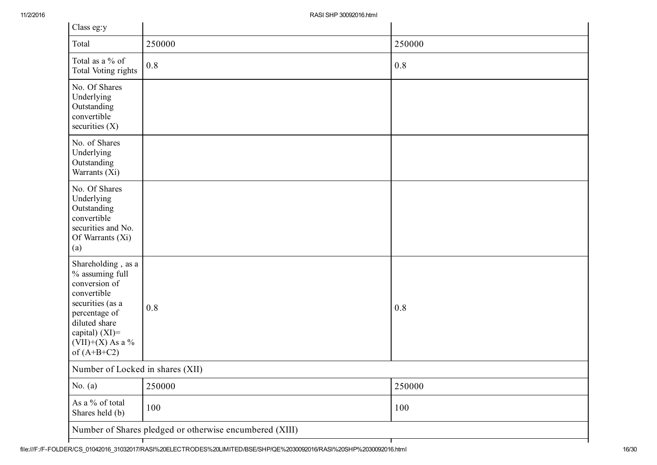| Class eg:y                                                                                                                                                                              |                                                         |        |  |  |  |
|-----------------------------------------------------------------------------------------------------------------------------------------------------------------------------------------|---------------------------------------------------------|--------|--|--|--|
| Total                                                                                                                                                                                   | 250000                                                  | 250000 |  |  |  |
| Total as a % of<br>Total Voting rights                                                                                                                                                  | 0.8                                                     | 0.8    |  |  |  |
| No. Of Shares<br>Underlying<br>Outstanding<br>convertible<br>securities $(X)$                                                                                                           |                                                         |        |  |  |  |
| No. of Shares<br>Underlying<br>Outstanding<br>Warrants (Xi)                                                                                                                             |                                                         |        |  |  |  |
| No. Of Shares<br>Underlying<br>Outstanding<br>convertible<br>securities and No.<br>Of Warrants (Xi)<br>(a)                                                                              |                                                         |        |  |  |  |
| Shareholding, as a<br>% assuming full<br>conversion of<br>convertible<br>securities (as a<br>percentage of<br>diluted share<br>capital) $(XI)$ =<br>$(VII)+(X)$ As a %<br>of $(A+B+C2)$ | 0.8                                                     | 0.8    |  |  |  |
| Number of Locked in shares (XII)                                                                                                                                                        |                                                         |        |  |  |  |
| No. $(a)$                                                                                                                                                                               | 250000                                                  | 250000 |  |  |  |
| As a $\%$ of total<br>Shares held (b)                                                                                                                                                   | 100                                                     | 100    |  |  |  |
|                                                                                                                                                                                         | Number of Shares pledged or otherwise encumbered (XIII) |        |  |  |  |
|                                                                                                                                                                                         |                                                         |        |  |  |  |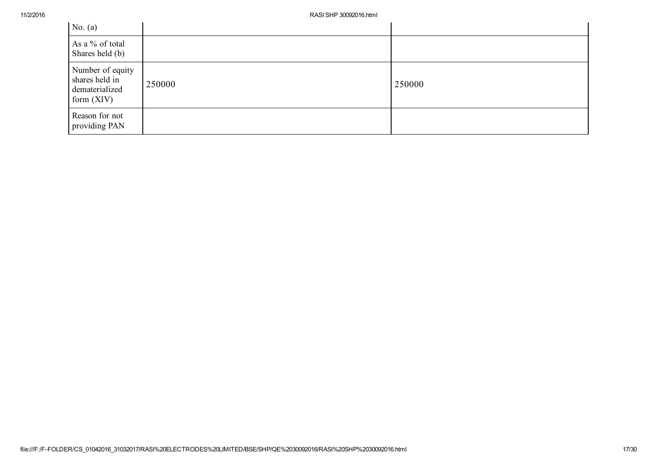| No. $(a)$                                                            |        |        |
|----------------------------------------------------------------------|--------|--------|
| As a % of total<br>Shares held (b)                                   |        |        |
| Number of equity<br>shares held in<br>dematerialized<br>form $(XIV)$ | 250000 | 250000 |
| Reason for not<br>providing PAN                                      |        |        |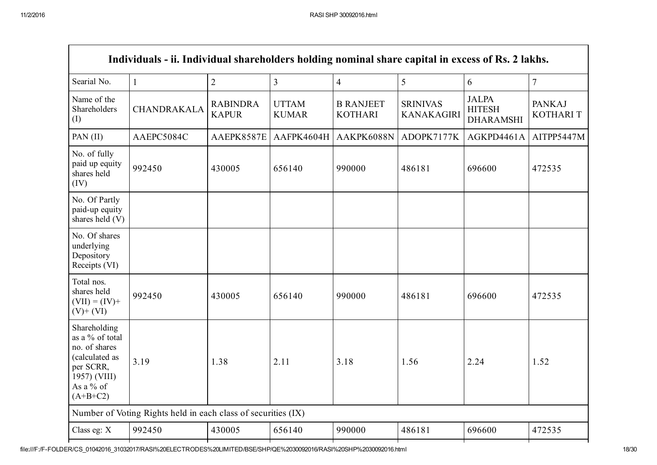| Individuals - ii. Individual shareholders holding nominal share capital in excess of Rs. 2 lakhs.                          |                                                               |                                 |                              |                                    |                                      |                                                   |                                  |
|----------------------------------------------------------------------------------------------------------------------------|---------------------------------------------------------------|---------------------------------|------------------------------|------------------------------------|--------------------------------------|---------------------------------------------------|----------------------------------|
| Searial No.                                                                                                                | $\mathbf{1}$                                                  | $\overline{2}$                  | $\overline{3}$               | $\overline{4}$                     | 5                                    | 6                                                 | $\overline{7}$                   |
| Name of the<br>Shareholders<br>(I)                                                                                         | <b>CHANDRAKALA</b>                                            | <b>RABINDRA</b><br><b>KAPUR</b> | <b>UTTAM</b><br><b>KUMAR</b> | <b>B RANJEET</b><br><b>KOTHARI</b> | <b>SRINIVAS</b><br><b>KANAKAGIRI</b> | <b>JALPA</b><br><b>HITESH</b><br><b>DHARAMSHI</b> | <b>PANKAJ</b><br><b>KOTHARIT</b> |
| PAN $(II)$                                                                                                                 | AAEPC5084C                                                    | AAEPK8587E                      | AAFPK4604H                   | AAKPK6088N                         | ADOPK7177K                           | AGKPD4461A                                        | AITPP5447M                       |
| No. of fully<br>paid up equity<br>shares held<br>(IV)                                                                      | 992450                                                        | 430005                          | 656140                       | 990000                             | 486181                               | 696600                                            | 472535                           |
| No. Of Partly<br>paid-up equity<br>shares held (V)                                                                         |                                                               |                                 |                              |                                    |                                      |                                                   |                                  |
| No. Of shares<br>underlying<br>Depository<br>Receipts (VI)                                                                 |                                                               |                                 |                              |                                    |                                      |                                                   |                                  |
| Total nos.<br>shares held<br>$(VII) = (IV) +$<br>$(V)+(VI)$                                                                | 992450                                                        | 430005                          | 656140                       | 990000                             | 486181                               | 696600                                            | 472535                           |
| Shareholding<br>as a % of total<br>no. of shares<br>(calculated as<br>per SCRR,<br>1957) (VIII)<br>As a % of<br>$(A+B+C2)$ | 3.19                                                          | 1.38                            | 2.11                         | 3.18                               | 1.56                                 | 2.24                                              | 1.52                             |
|                                                                                                                            | Number of Voting Rights held in each class of securities (IX) |                                 |                              |                                    |                                      |                                                   |                                  |
| Class eg: X                                                                                                                | 992450                                                        | 430005                          | 656140                       | 990000                             | 486181                               | 696600                                            | 472535                           |
|                                                                                                                            |                                                               |                                 |                              |                                    |                                      |                                                   |                                  |

г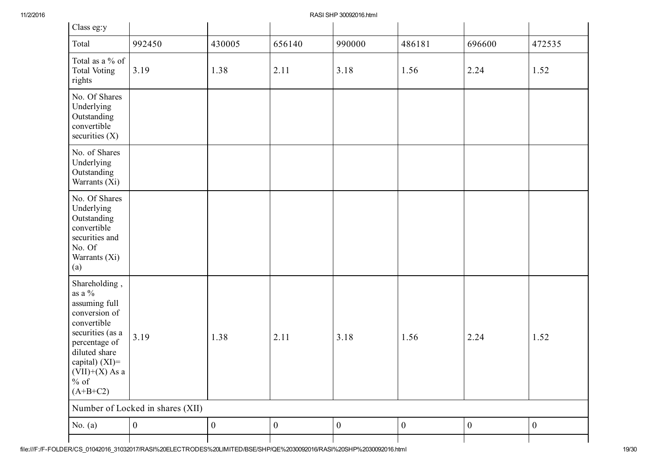| Class eg:y                                                                                                                                                                                      |                                  |                  |                  |                  |                  |                  |                  |
|-------------------------------------------------------------------------------------------------------------------------------------------------------------------------------------------------|----------------------------------|------------------|------------------|------------------|------------------|------------------|------------------|
| Total                                                                                                                                                                                           | 992450                           | 430005           | 656140           | 990000           | 486181           | 696600           | 472535           |
| Total as a % of<br><b>Total Voting</b><br>rights                                                                                                                                                | 3.19                             | 1.38             | 2.11             | 3.18             | 1.56             | 2.24             | 1.52             |
| No. Of Shares<br>Underlying<br>Outstanding<br>convertible<br>securities $(X)$                                                                                                                   |                                  |                  |                  |                  |                  |                  |                  |
| No. of Shares<br>Underlying<br>Outstanding<br>Warrants (Xi)                                                                                                                                     |                                  |                  |                  |                  |                  |                  |                  |
| No. Of Shares<br>Underlying<br>Outstanding<br>convertible<br>securities and<br>No. Of<br>Warrants (Xi)<br>(a)                                                                                   |                                  |                  |                  |                  |                  |                  |                  |
| Shareholding,<br>as a $\%$<br>assuming full<br>conversion of<br>convertible<br>securities (as a<br>percentage of<br>diluted share<br>capital) $(XI)=$<br>$(VII)+(X)$ As a<br>% of<br>$(A+B+C2)$ | 3.19                             | 1.38             | 2.11             | 3.18             | 1.56             | 2.24             | 1.52             |
|                                                                                                                                                                                                 | Number of Locked in shares (XII) |                  |                  |                  |                  |                  |                  |
| No. $(a)$                                                                                                                                                                                       | $\boldsymbol{0}$                 | $\boldsymbol{0}$ | $\boldsymbol{0}$ | $\boldsymbol{0}$ | $\boldsymbol{0}$ | $\boldsymbol{0}$ | $\boldsymbol{0}$ |
|                                                                                                                                                                                                 |                                  |                  |                  |                  |                  |                  |                  |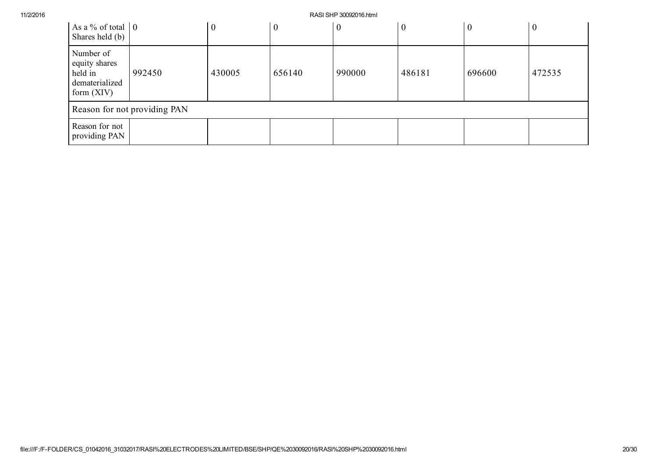| As a % of total $\vert 0 \vert$<br>Shares held (b)                      |        | $\boldsymbol{0}$ | $\boldsymbol{0}$ | $\boldsymbol{0}$ | $\boldsymbol{0}$ | $\boldsymbol{0}$ | $\boldsymbol{0}$ |
|-------------------------------------------------------------------------|--------|------------------|------------------|------------------|------------------|------------------|------------------|
| Number of<br>equity shares<br>held in<br>dematerialized<br>form $(XIV)$ | 992450 | 430005           | 656140           | 990000           | 486181           | 696600           | 472535           |
| Reason for not providing PAN                                            |        |                  |                  |                  |                  |                  |                  |
| Reason for not<br>providing PAN                                         |        |                  |                  |                  |                  |                  |                  |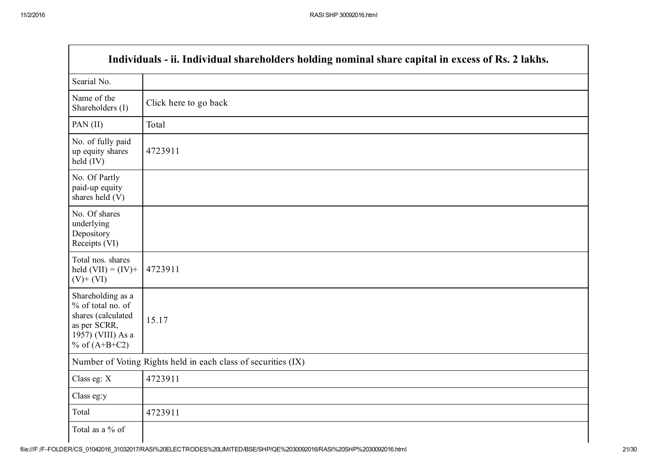Г

|                                                                                                                      | Individuals - ii. Individual shareholders holding nominal share capital in excess of Rs. 2 lakhs. |  |  |  |  |
|----------------------------------------------------------------------------------------------------------------------|---------------------------------------------------------------------------------------------------|--|--|--|--|
| Searial No.                                                                                                          |                                                                                                   |  |  |  |  |
| Name of the<br>Shareholders (I)                                                                                      | Click here to go back                                                                             |  |  |  |  |
| PAN (II)                                                                                                             | Total                                                                                             |  |  |  |  |
| No. of fully paid<br>up equity shares<br>held (IV)                                                                   | 4723911                                                                                           |  |  |  |  |
| No. Of Partly<br>paid-up equity<br>shares held (V)                                                                   |                                                                                                   |  |  |  |  |
| No. Of shares<br>underlying<br>Depository<br>Receipts (VI)                                                           |                                                                                                   |  |  |  |  |
| Total nos. shares<br>held $(VII) = (IV) +$<br>$(V)+(VI)$                                                             | 4723911                                                                                           |  |  |  |  |
| Shareholding as a<br>% of total no. of<br>shares (calculated<br>as per SCRR,<br>1957) (VIII) As a<br>% of $(A+B+C2)$ | 15.17                                                                                             |  |  |  |  |
|                                                                                                                      | Number of Voting Rights held in each class of securities (IX)                                     |  |  |  |  |
| Class eg: X                                                                                                          | 4723911                                                                                           |  |  |  |  |
| Class eg:y                                                                                                           |                                                                                                   |  |  |  |  |
| Total                                                                                                                | 4723911                                                                                           |  |  |  |  |
| Total as a % of                                                                                                      |                                                                                                   |  |  |  |  |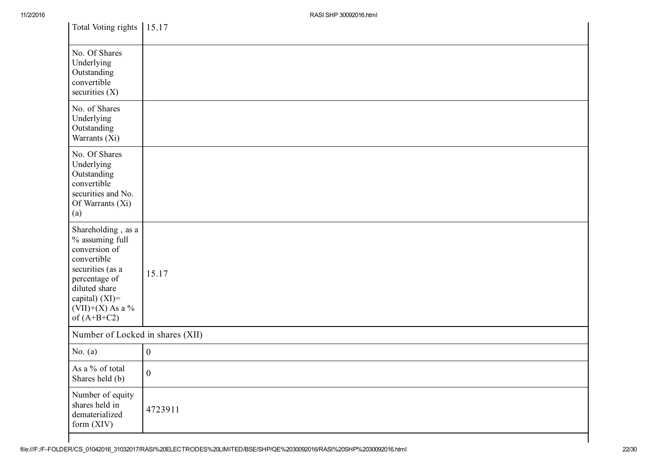| Total Voting rights 15.17                                                                                                                                                               |                  |
|-----------------------------------------------------------------------------------------------------------------------------------------------------------------------------------------|------------------|
| No. Of Shares<br>Underlying<br>Outstanding<br>convertible<br>securities $(X)$                                                                                                           |                  |
| No. of Shares<br>Underlying<br>Outstanding<br>Warrants (Xi)                                                                                                                             |                  |
| No. Of Shares<br>Underlying<br>Outstanding<br>convertible<br>securities and No.<br>Of Warrants (Xi)<br>(a)                                                                              |                  |
| Shareholding, as a<br>% assuming full<br>conversion of<br>convertible<br>securities (as a<br>percentage of<br>diluted share<br>capital) $(XI)$ =<br>$(VII)+(X)$ As a %<br>of $(A+B+C2)$ | 15.17            |
| Number of Locked in shares (XII)                                                                                                                                                        |                  |
| No. $(a)$                                                                                                                                                                               | $\mathbf{0}$     |
| As a % of total<br>Shares held (b)                                                                                                                                                      | $\boldsymbol{0}$ |
| Number of equity<br>shares held in<br>dematerialized<br>form (XIV)                                                                                                                      | 4723911          |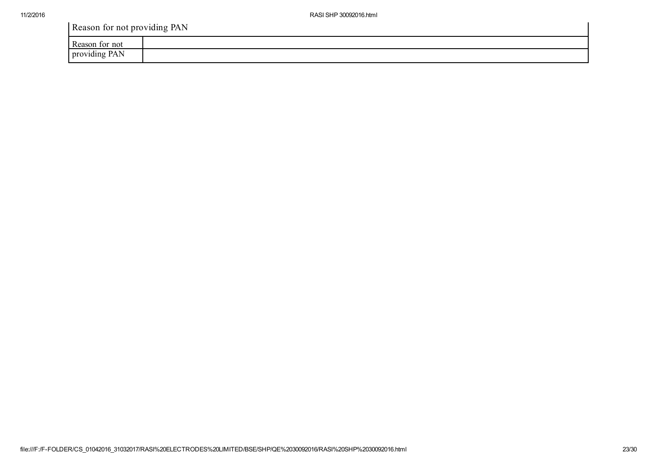Reason for not providing PAN

| D<br>tor not<br>Reason                                                  |  |
|-------------------------------------------------------------------------|--|
| $\sim$<br>- -<br>$\blacksquare$<br>$\mathbf{r}$<br>---<br>.<br>1 V<br>. |  |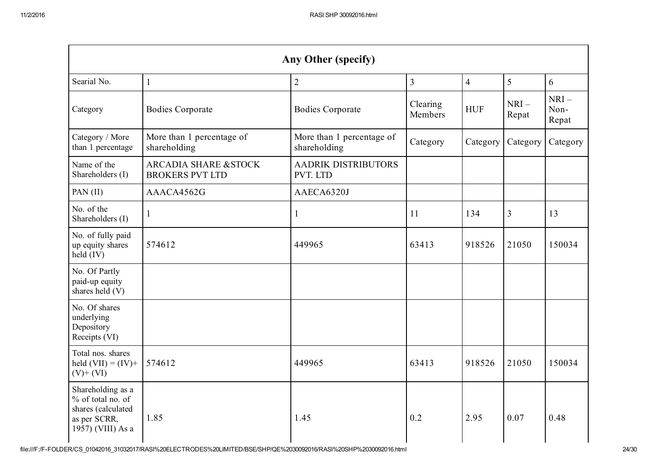| Any Other (specify)                                                                               |                                                 |                                           |                     |                |                 |                         |  |
|---------------------------------------------------------------------------------------------------|-------------------------------------------------|-------------------------------------------|---------------------|----------------|-----------------|-------------------------|--|
| Searial No.                                                                                       | $\mathbf{1}$                                    | $\sqrt{2}$                                | $\overline{3}$      | $\overline{4}$ | 5               | 6                       |  |
| Category                                                                                          | <b>Bodies Corporate</b>                         | <b>Bodies Corporate</b>                   | Clearing<br>Members | <b>HUF</b>     | $NRI-$<br>Repat | $NRI-$<br>Non-<br>Repat |  |
| Category / More<br>than 1 percentage                                                              | More than 1 percentage of<br>shareholding       | More than 1 percentage of<br>shareholding | Category            | Category       | Category        | Category                |  |
| Name of the<br>Shareholders (I)                                                                   | ARCADIA SHARE & STOCK<br><b>BROKERS PVT LTD</b> | <b>AADRIK DISTRIBUTORS</b><br>PVT. LTD    |                     |                |                 |                         |  |
| PAN (II)                                                                                          | AAACA4562G                                      | AAECA6320J                                |                     |                |                 |                         |  |
| No. of the<br>Shareholders (I)                                                                    | $\mathbf{1}$                                    | $\mathbf{1}$                              | 11                  | 134            | 3               | 13                      |  |
| No. of fully paid<br>up equity shares<br>held (IV)                                                | 574612                                          | 449965                                    | 63413               | 918526         | 21050           | 150034                  |  |
| No. Of Partly<br>paid-up equity<br>shares held (V)                                                |                                                 |                                           |                     |                |                 |                         |  |
| No. Of shares<br>underlying<br>Depository<br>Receipts (VI)                                        |                                                 |                                           |                     |                |                 |                         |  |
| Total nos. shares<br>held $(VII) = (IV) +$<br>$(V)+(VI)$                                          | 574612                                          | 449965                                    | 63413               | 918526         | 21050           | 150034                  |  |
| Shareholding as a<br>% of total no. of<br>shares (calculated<br>as per SCRR,<br>1957) (VIII) As a | 1.85                                            | 1.45                                      | 0.2                 | 2.95           | 0.07            | 0.48                    |  |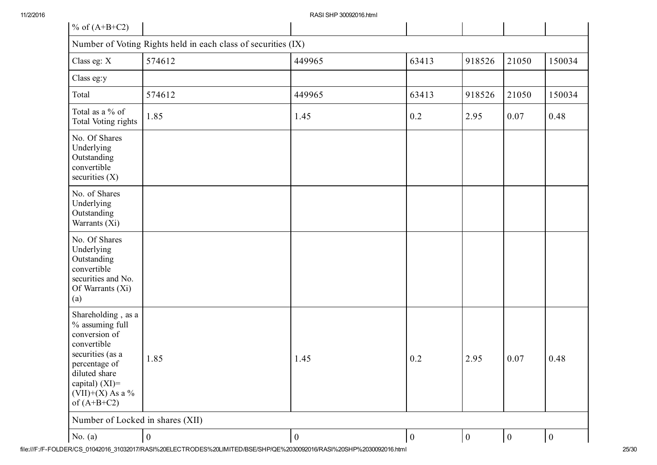| % of $(A+B+C2)$                                                                                                                                                                         |                  |                  |          |                  |                  |              |
|-----------------------------------------------------------------------------------------------------------------------------------------------------------------------------------------|------------------|------------------|----------|------------------|------------------|--------------|
| Number of Voting Rights held in each class of securities (IX)                                                                                                                           |                  |                  |          |                  |                  |              |
| Class eg: X                                                                                                                                                                             | 574612           | 449965           | 63413    | 918526           | 21050            | 150034       |
| Class eg:y                                                                                                                                                                              |                  |                  |          |                  |                  |              |
| Total                                                                                                                                                                                   | 574612           | 449965           | 63413    | 918526           | 21050            | 150034       |
| Total as a % of<br>Total Voting rights                                                                                                                                                  | 1.85             | 1.45             | 0.2      | 2.95             | 0.07             | 0.48         |
| No. Of Shares<br>Underlying<br>Outstanding<br>convertible<br>securities $(X)$                                                                                                           |                  |                  |          |                  |                  |              |
| No. of Shares<br>Underlying<br>Outstanding<br>Warrants (Xi)                                                                                                                             |                  |                  |          |                  |                  |              |
| No. Of Shares<br>Underlying<br>Outstanding<br>convertible<br>securities and No.<br>Of Warrants (Xi)<br>(a)                                                                              |                  |                  |          |                  |                  |              |
| Shareholding, as a<br>% assuming full<br>conversion of<br>convertible<br>securities (as a<br>percentage of<br>diluted share<br>capital) $(XI)$ =<br>$(VII)+(X)$ As a %<br>of $(A+B+C2)$ | 1.85             | 1.45             | 0.2      | 2.95             | 0.07             | 0.48         |
| Number of Locked in shares (XII)                                                                                                                                                        |                  |                  |          |                  |                  |              |
| No. $(a)$                                                                                                                                                                               | $\boldsymbol{0}$ | $\boldsymbol{0}$ | $\bf{0}$ | $\boldsymbol{0}$ | $\boldsymbol{0}$ | $\mathbf{0}$ |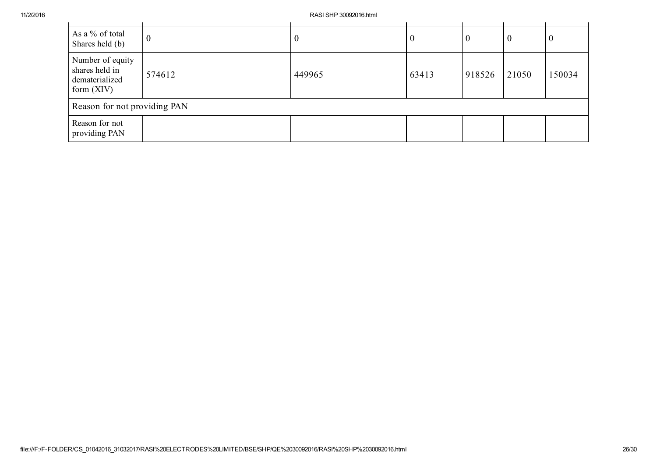| As a % of total<br>Shares held (b)                                   | $\boldsymbol{0}$ | 0      | U     | U      | $\boldsymbol{0}$ | v      |
|----------------------------------------------------------------------|------------------|--------|-------|--------|------------------|--------|
| Number of equity<br>shares held in<br>dematerialized<br>form $(XIV)$ | 574612           | 449965 | 63413 | 918526 | 21050            | 150034 |
| Reason for not providing PAN                                         |                  |        |       |        |                  |        |
| Reason for not<br>providing PAN                                      |                  |        |       |        |                  |        |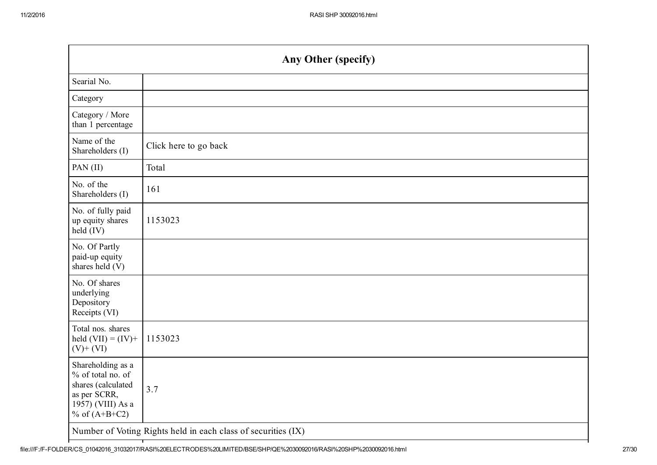| Any Other (specify)                                                                                                  |                       |  |
|----------------------------------------------------------------------------------------------------------------------|-----------------------|--|
| Searial No.                                                                                                          |                       |  |
| Category                                                                                                             |                       |  |
| Category / More<br>than 1 percentage                                                                                 |                       |  |
| Name of the<br>Shareholders (I)                                                                                      | Click here to go back |  |
| PAN (II)                                                                                                             | Total                 |  |
| No. of the<br>Shareholders (I)                                                                                       | 161                   |  |
| No. of fully paid<br>up equity shares<br>held (IV)                                                                   | 1153023               |  |
| No. Of Partly<br>paid-up equity<br>shares held (V)                                                                   |                       |  |
| No. Of shares<br>underlying<br>Depository<br>Receipts (VI)                                                           |                       |  |
| Total nos. shares<br>held $(VII) = (IV) +$<br>$(V)$ + $(VI)$                                                         | 1153023               |  |
| Shareholding as a<br>% of total no. of<br>shares (calculated<br>as per SCRR,<br>1957) (VIII) As a<br>% of $(A+B+C2)$ | 3.7                   |  |
| Number of Voting Rights held in each class of securities (IX)                                                        |                       |  |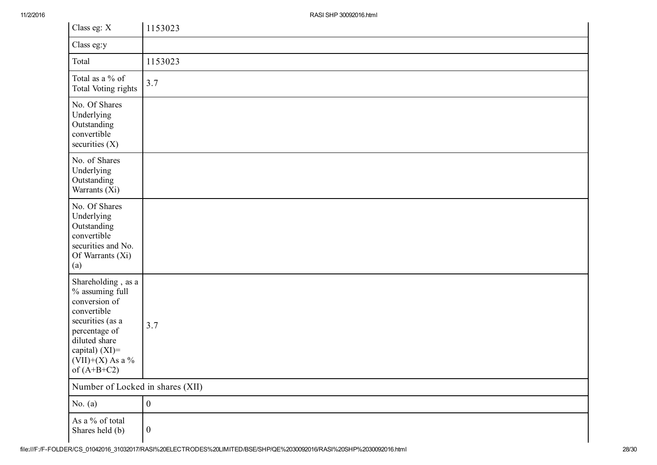| Class eg: X                                                                                                                                                                             | 1153023          |  |
|-----------------------------------------------------------------------------------------------------------------------------------------------------------------------------------------|------------------|--|
| Class eg:y                                                                                                                                                                              |                  |  |
| Total                                                                                                                                                                                   | 1153023          |  |
| Total as a % of<br>Total Voting rights                                                                                                                                                  | 3.7              |  |
| No. Of Shares<br>Underlying<br>Outstanding<br>convertible<br>securities $(X)$                                                                                                           |                  |  |
| No. of Shares<br>Underlying<br>Outstanding<br>Warrants (Xi)                                                                                                                             |                  |  |
| No. Of Shares<br>Underlying<br>Outstanding<br>convertible<br>securities and No.<br>Of Warrants (Xi)<br>(a)                                                                              |                  |  |
| Shareholding, as a<br>% assuming full<br>conversion of<br>convertible<br>securities (as a<br>percentage of<br>diluted share<br>capital) $(XI)$ =<br>$(VII)+(X)$ As a %<br>of $(A+B+C2)$ | 3.7              |  |
| Number of Locked in shares (XII)                                                                                                                                                        |                  |  |
| No. $(a)$                                                                                                                                                                               | $\boldsymbol{0}$ |  |
| As a % of total<br>Shares held (b)                                                                                                                                                      | $\boldsymbol{0}$ |  |